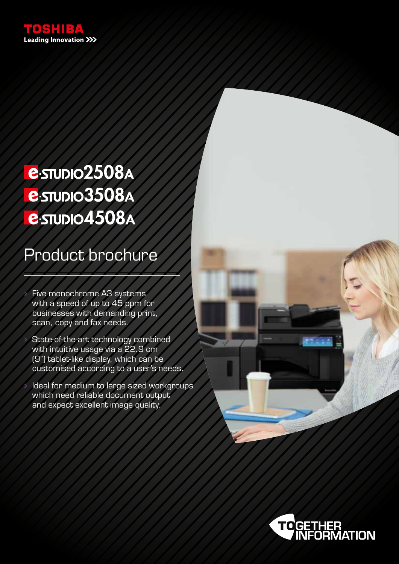

# **e**-STUDIO2508A **e**-stupio3508A **e**-STUDIO4508A

### Product brochure

• Five monochrome A3 systems with a speed of up to 45 ppm for businesses with demanding print, scan, copy and fax needs.

State-of-the-art technology combined with intuitive usage via a 22.9 cm (9") tablet-like display, which can be customised according to a user's needs.

• Ideal for medium to large sized workgroups which need reliable document output and expect excellent image quality.



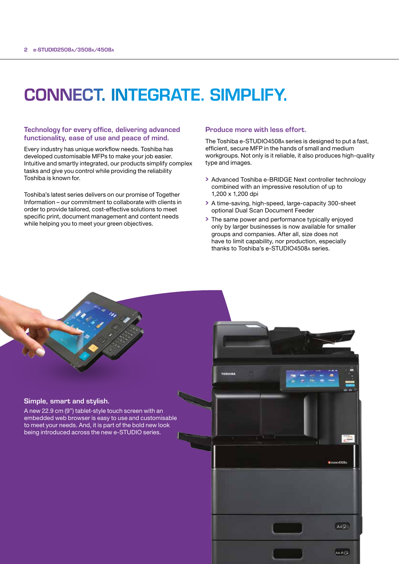### CONNECT. INTEGRATE. SIMPLIFY.

#### Technology for every office, delivering advanced functionality, ease of use and peace of mind.

Every industry has unique workflow needs. Toshiba has developed customisable MFPs to make your job easier. Intuitive and smartly integrated, our products simplify complex tasks and give you control while providing the reliability Toshiba is known for.

Toshiba's latest series delivers on our promise of Together Information – our commitment to collaborate with clients in order to provide tailored, cost-effective solutions to meet specific print, document management and content needs while helping you to meet your green objectives.

#### Produce more with less effort.

The Toshiba e-STUDIO4508a series is designed to put a fast, efficient, secure MFP in the hands of small and medium workgroups. Not only is it reliable, it also produces high-quality type and images.

- Advanced Toshiba e-BRIDGE Next controller technology combined with an impressive resolution of up to 1,200 x 1,200 dpi
- A time-saving, high-speed, large-capacity 300-sheet optional Dual Scan Document Feeder
- The same power and performance typically enjoyed only by larger businesses is now available for smaller groups and companies. After all, size does not have to limit capability, nor production, especially thanks to Toshiba's e-STUDIO4508a series.

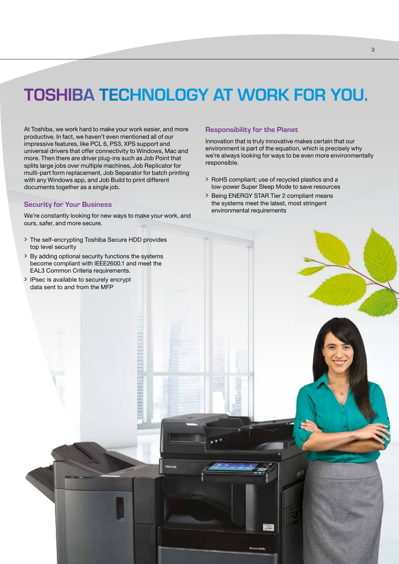## TOSHIBA TECHNOLOGY AT WORK FOR YOU.

At Toshiba, we work hard to make your work easier, and more productive. In fact, we haven't even mentioned all of our impressive features, like PCL 6, PS3, XPS support and universal drivers that offer connectivity to Windows, Mac and more. Then there are driver plug-ins such as Job Point that splits large jobs over multiple machines, Job Replicator for multi-part form replacement, Job Separator for batch printing with any Windows app, and Job Build to print different documents together as a single job.

#### Security for Your Business

We're constantly looking for new ways to make your work, and ours, safer, and more secure.

- The self-encrypting Toshiba Secure HDD provides top level security
- become compliant with IEEE2600.1 and meet the EAL3 Common Criteria requirements.
- IPsec is available to securely encrypt data sent to and from the MFP

#### Responsibility for the Planet

Innovation that is truly innovative makes certain that our environment is part of the equation, which is precisely why we're always looking for ways to be even more environmentally responsible.

- RoHS compliant; use of recycled plastics and a low-power Super Sleep Mode to save resources
- Being ENERGY STAR Tier 2 compliant means the systems meet the latest, most stringent environmental requirements

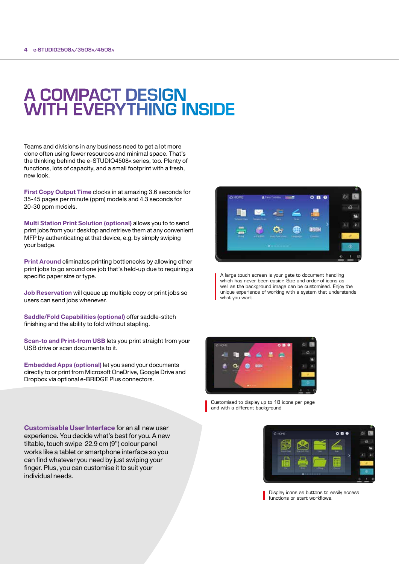### A COMPACT DESIGN WITH EVERYTHING INSIDE

Teams and divisions in any business need to get a lot more done often using fewer resources and minimal space. That's the thinking behind the e-STUDIO4508a series, too. Plenty of functions, lots of capacity, and a small footprint with a fresh, new look.

First Copy Output Time clocks in at amazing 3.6 seconds for 35-45 pages per minute (ppm) models and 4.3 seconds for 20-30 ppm models.

Multi Station Print Solution (optional) allows you to to send print jobs from your desktop and retrieve them at any convenient MFP by authenticating at that device, e.g. by simply swiping your badge.

Print Around eliminates printing bottlenecks by allowing other print jobs to go around one job that's held-up due to requiring a specific paper size or type.

Job Reservation will queue up multiple copy or print jobs so users can send jobs whenever.

Saddle/Fold Capabilities (optional) offer saddle-stitch finishing and the ability to fold without stapling.

Scan-to and Print-from USB lets you print straight from your USB drive or scan documents to it.

Embedded Apps (optional) let you send your documents directly to or print from Microsoft OneDrive, Google Drive and Dropbox via optional e-BRIDGE Plus connectors.



A large touch screen is your gate to document handling which has never been easier. Size and order of icons as well as the background image can be customised. Enjoy the unique experience of working with a system that understands what you want.



Customised to display up to 18 icons per page and with a different background

 $\mathbf{A}$  m

Display icons as buttons to easily access functions or start workflows.

Customisable User Interface for an all new user experience. You decide what's best for you. A new tiltable, touch swipe 22.9 cm (9") colour panel works like a tablet or smartphone interface so you can find whatever you need by just swiping your finger. Plus, you can customise it to suit your individual needs.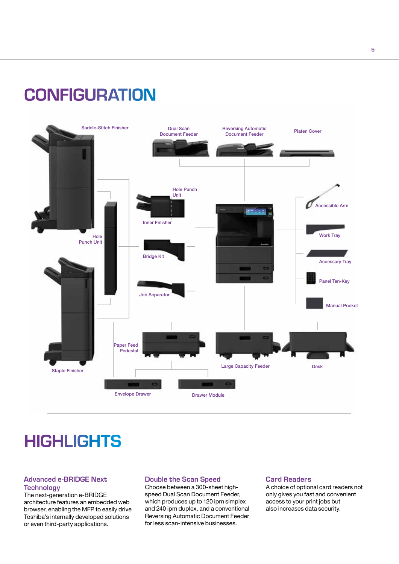### **CONFIGURATION**



### **HIGHLIGHTS**

#### Advanced e-BRIDGE Next **Technology**

The next-generation e-BRIDGE architecture features an embedded web browser, enabling the MFP to easily drive Toshiba's internally developed solutions or even third-party applications.

#### Double the Scan Speed

Choose between a 300-sheet highspeed Dual Scan Document Feeder, which produces up to 120 ipm simplex and 240 ipm duplex, and a conventional Reversing Automatic Document Feeder for less scan-intensive businesses.

#### Card Readers

A choice of optional card readers not only gives you fast and convenient access to your print jobs but also increases data security.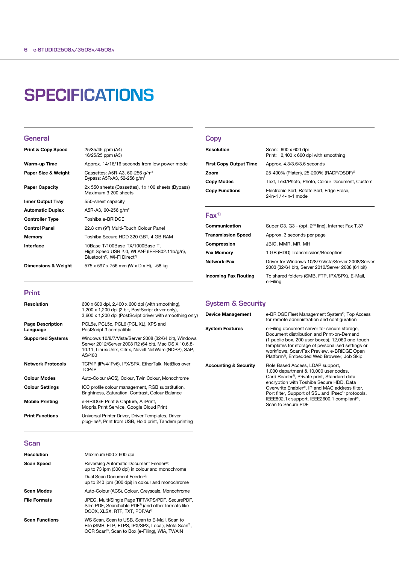### **SPECIFICATIONS**

#### **General**

| <b>Print &amp; Copy Speed</b> | 25/35/45 ppm (A4)<br>16/25/25 ppm (A3)                                                                                                              |
|-------------------------------|-----------------------------------------------------------------------------------------------------------------------------------------------------|
| Warm-up Time                  | Approx. 14/16/16 seconds from low power mode                                                                                                        |
| Paper Size & Weight           | Cassettes: A5R-A3, 60-256 $q/m^2$<br>Bypass: A5R-A3, 52-256 g/m <sup>2</sup>                                                                        |
| <b>Paper Capacity</b>         | 2x 550 sheets (Cassettes), 1x 100 sheets (Bypass)<br>Maximum 3,200 sheets                                                                           |
| <b>Inner Output Tray</b>      | 550-sheet capacity                                                                                                                                  |
| <b>Automatic Duplex</b>       | A5R-A3, 60-256 g/m <sup>2</sup>                                                                                                                     |
| <b>Controller Type</b>        | Toshiba e-BRIDGE                                                                                                                                    |
| <b>Control Panel</b>          | 22.8 cm (9") Multi-Touch Colour Panel                                                                                                               |
| Memory                        | Toshiba Secure HDD 320 GB <sup>1)</sup> , 4 GB RAM                                                                                                  |
| Interface                     | 10Base-T/100Base-TX/1000Base-T,<br>High Speed USB 2.0, WLAN <sup>2)</sup> (IEEE802.11b/g/n),<br>Bluetooth <sup>2</sup> , Wi-Fi Direct <sup>2)</sup> |
| Dimensions & Weight           | 575 x 597 x 756 mm (W x D x H), $\sim$ 58 kg                                                                                                        |

#### **Copy**

| Resolution                    | Scan: 600 x 600 dpi<br>Print: 2,400 x 600 dpi with smoothing      |
|-------------------------------|-------------------------------------------------------------------|
| <b>First Copy Output Time</b> | Approx. 4.3/3.6/3.6 seconds                                       |
| Zoom                          | 25-400% (Platen), 25-200% (RADF/DSDF) <sup>2)</sup>               |
| <b>Copy Modes</b>             | Text, Text/Photo, Photo, Colour Document, Custom                  |
| <b>Copy Functions</b>         | Electronic Sort, Rotate Sort, Edge Erase,<br>2-in-1 / 4-in-1 mode |

#### $Fax<sup>1</sup>$

| Communication               | Super G3, G3 - (opt. 2 <sup>nd</sup> line), Internet Fax T.37                                            |
|-----------------------------|----------------------------------------------------------------------------------------------------------|
| <b>Transmission Speed</b>   | Approx. 3 seconds per page                                                                               |
| Compression                 | JBIG, MMR, MR, MH                                                                                        |
| <b>Fax Memory</b>           | 1 GB (HDD) Transmission/Reception                                                                        |
| Network-Fax                 | Driver for Windows 10/8/7/Vista/Server 2008/Server<br>2003 (32/64 bit), Server 2012/Server 2008 (64 bit) |
| <b>Incoming Fax Routing</b> | To shared folders (SMB, FTP, IPX/SPX), E-Mail,<br>e-Filing                                               |

#### Print

| Resolution                          | 600 x 600 dpi, 2,400 x 600 dpi (with smoothing),<br>1,200 x 1,200 dpi (2 bit, PostScript driver only),<br>3,600 x 1,200 dpi (PostScript driver with smoothing only)                |
|-------------------------------------|------------------------------------------------------------------------------------------------------------------------------------------------------------------------------------|
| <b>Page Description</b><br>Language | PCL5e, PCL5c, PCL6 (PCL XL), XPS and<br>PostScript 3 compatible                                                                                                                    |
| <b>Supported Systems</b>            | Windows 10/8/7/Vista/Server 2008 (32/64 bit), Windows<br>Server 2012/Server 2008 R2 (64 bit), Mac OS X 10.6.8-<br>10.11, Linux/Unix, Citrix, Novell NetWare (NDPS), SAP,<br>AS/400 |
| <b>Network Protocols</b>            | TCP/IP (IPv4/IPv6), IPX/SPX, EtherTalk, NetBios over<br>TCP/IP                                                                                                                     |
| <b>Colour Modes</b>                 | Auto-Colour (ACS), Colour, Twin Colour, Monochrome                                                                                                                                 |
| <b>Colour Settings</b>              | ICC profile colour management, RGB substitution,<br>Brightness, Saturation, Contrast, Colour Balance                                                                               |
| <b>Mobile Printing</b>              | e-BRIDGE Print & Capture, AirPrint,<br>Mopria Print Service, Google Cloud Print                                                                                                    |
| <b>Print Functions</b>              | Universal Printer Driver, Driver Templates, Driver<br>plug-ins <sup>2</sup> , Print from USB, Hold print, Tandem printing                                                          |
|                                     |                                                                                                                                                                                    |

### System & Security

| <b>Device Management</b>         | e-BRIDGE Fleet Management System <sup>2</sup> , Top Access<br>for remote administration and configuration                                                                                                                                                                                                                                                                                          |
|----------------------------------|----------------------------------------------------------------------------------------------------------------------------------------------------------------------------------------------------------------------------------------------------------------------------------------------------------------------------------------------------------------------------------------------------|
| <b>System Features</b>           | e-Filing document server for secure storage,<br>Document distribution and Print-on-Demand<br>(1 public box, 200 user boxes), 12,060 one-touch<br>templates for storage of personalised settings or<br>workflows, Scan/Fax Preview, e-BRIDGE Open<br>Platform <sup>2</sup> , Embedded Web Browser, Job Skip                                                                                         |
| <b>Accounting &amp; Security</b> | Role Based Access, LDAP support,<br>1,000 department & 10,000 user codes,<br>Card Reader <sup>2</sup> , Private print, Standard data<br>encryption with Toshiba Secure HDD, Data<br>Overwrite Enabler <sup>2</sup> , IP and MAC address filter,<br>Port filter, Support of SSL and IPsec <sup>2</sup> protocols,<br>IEEE802.1x support, IEEE2600.1 compliant <sup>2)</sup> ,<br>Scan to Secure PDF |

#### **Scan**

| Resolution            | Maximum 600 x 600 dpi                                                                                                                                                            |
|-----------------------|----------------------------------------------------------------------------------------------------------------------------------------------------------------------------------|
| <b>Scan Speed</b>     | Reversing Automatic Document Feeder <sup>2)</sup> :<br>up to 73 ipm (300 dpi) in colour and monochrome                                                                           |
|                       | Dual Scan Document Feeder <sup>2)</sup> :<br>up to 240 ipm (300 dpi) in colour and monochrome                                                                                    |
| <b>Scan Modes</b>     | Auto-Colour (ACS), Colour, Greyscale, Monochrome                                                                                                                                 |
| <b>File Formats</b>   | JPEG, Multi/Single Page TIFF/XPS/PDF, SecurePDF,<br>Slim PDF, Searchable PDF <sup>2)</sup> (and other formats like<br>DOCX, XLSX, RTF, TXT, PDF/A) <sup>2)</sup>                 |
| <b>Scan Functions</b> | WS Scan, Scan to USB, Scan to E-Mail, Scan to<br>File (SMB, FTP, FTPS, IPX/SPX, Local), Meta Scan <sup>2)</sup> ,<br>OCR Scan <sup>2)</sup> , Scan to Box (e-Filing), WIA, TWAIN |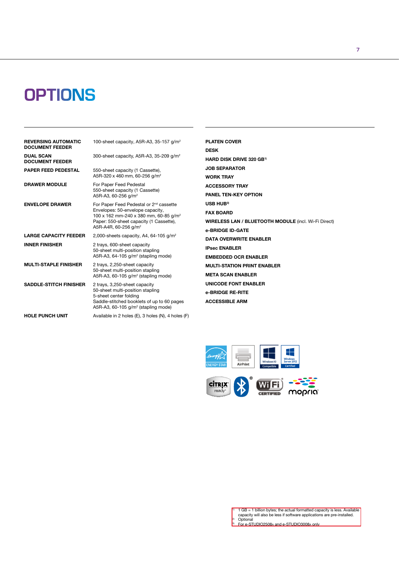### **OPTIONS**

| <b>REVERSING AUTOMATIC</b><br><b>DOCUMENT FEEDER</b> | 100-sheet capacity, A5R-A3, 35-157 $q/m^2$                                                                                                                                                                                  |
|------------------------------------------------------|-----------------------------------------------------------------------------------------------------------------------------------------------------------------------------------------------------------------------------|
| <b>DUAL SCAN</b><br><b>DOCUMENT FEEDER</b>           | 300-sheet capacity, A5R-A3, 35-209 g/m <sup>2</sup>                                                                                                                                                                         |
| <b>PAPER FEED PEDESTAL</b>                           | 550-sheet capacity (1 Cassette),<br>A5R-320 x 460 mm, 60-256 g/m <sup>2</sup>                                                                                                                                               |
| <b>DRAWER MODULE</b>                                 | For Paper Feed Pedestal<br>550-sheet capacity (1 Cassette)<br>A5R-A3, 60-256 g/m <sup>2</sup>                                                                                                                               |
| <b>ENVELOPE DRAWER</b>                               | For Paper Feed Pedestal or 2 <sup>nd</sup> cassette<br>Envelopes: 50-envelope capacity,<br>100 x 162 mm-240 x 380 mm, 60-85 g/m <sup>2</sup><br>Paper: 550-sheet capacity (1 Cassette),<br>A5R-A4R, 60-256 g/m <sup>2</sup> |
| <b>LARGE CAPACITY FEEDER</b>                         | 2,000-sheets capacity, A4, 64-105 $q/m^2$                                                                                                                                                                                   |
| <b>INNER FINISHER</b>                                | 2 trays, 600-sheet capacity<br>50-sheet multi-position stapling<br>A5R-A3, 64-105 g/m <sup>2</sup> (stapling mode)                                                                                                          |
| <b>MULTI-STAPLE FINISHER</b>                         | 2 trays, 2,250-sheet capacity<br>50-sheet multi-position stapling<br>A5R-A3, 60-105 $q/m^2$ (stapling mode)                                                                                                                 |
| <b>SADDLE-STITCH FINISHER</b>                        | 2 trays, 3,250-sheet capacity<br>50-sheet multi-position stapling<br>5-sheet center folding<br>Saddle-stitched booklets of up to 60 pages<br>A5R-A3, 60-105 $q/m^2$ (stapling mode)                                         |
| <b>HOLE PUNCH UNIT</b>                               | Available in 2 holes (E), 3 holes (N), 4 holes (F)                                                                                                                                                                          |

PLATEN COVER DESK HARD DISK DRIVE 320 GB1) JOB SEPARATOR WORK TRAY ACCESSORY TRAY PANEL TEN-KEY OPTION USB HUB3) FAX BOARD WIRELESS LAN / BLUETOOTH MODULE (incl. Wi-Fi Direct) e-BRIDGE ID-GATE DATA OVERWRITE ENABLER IPsec ENABLER EMBEDDED OCR ENABLER MULTI-STATION PRINT ENABLER META SCAN ENABLER UNICODE FONT ENABLER e-BRIDGE RE-RITE ACCESSIBLE ARM



7

| $\frac{10}{1}$ 1 GB = 1 billion bytes; the actual formatted capacity is less. Available |
|-----------------------------------------------------------------------------------------|
| capacity will also be less if software applications are pre-installed.                  |
| <sup>2</sup> Optional                                                                   |

<sup>2)</sup> Optional<br>3) For e-STUDIO2508a and e-STUDIO3008a only